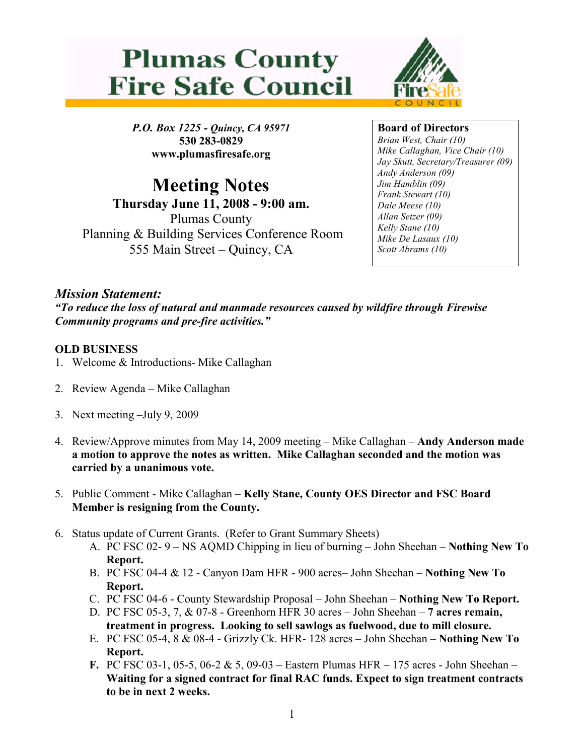



P.O. Box 1225 - Quincy, CA 95971 530 283-0829 www.plumasfiresafe.org

Meeting Notes Thursday June 11, 2008 - 9:00 am. Plumas County Planning & Building Services Conference Room 555 Main Street – Quincy, CA

Board of Directors

Brian West, Chair (10) Mike Callaghan, Vice Chair (10) Jay Skutt, Secretary/Treasurer (09) Andy Anderson (09) Jim Hamblin (09) Frank Stewart (10) Dale Meese (10) Allan Setzer (09) Kelly Stane (10) Mike De Lasaux (10) Scott Abrams (10)

## Mission Statement:

"To reduce the loss of natural and manmade resources caused by wildfire through Firewise Community programs and pre-fire activities."

## OLD BUSINESS

- 1. Welcome & Introductions- Mike Callaghan
- 2. Review Agenda Mike Callaghan
- 3. Next meeting –July 9, 2009
- 4. Review/Approve minutes from May 14, 2009 meeting Mike Callaghan Andy Anderson made a motion to approve the notes as written. Mike Callaghan seconded and the motion was carried by a unanimous vote.
- 5. Public Comment Mike Callaghan Kelly Stane, County OES Director and FSC Board Member is resigning from the County.
- 6. Status update of Current Grants. (Refer to Grant Summary Sheets)
	- A. PC FSC 02- 9 NS AQMD Chipping in lieu of burning John Sheehan Nothing New To Report.
	- B. PC FSC 04-4 & 12 Canyon Dam HFR 900 acres– John Sheehan Nothing New To Report.
	- C. PC FSC 04-6 County Stewardship Proposal John Sheehan Nothing New To Report.
	- D. PC FSC 05-3, 7, & 07-8 Greenhorn HFR 30 acres John Sheehan 7 acres remain, treatment in progress. Looking to sell sawlogs as fuelwood, due to mill closure.
	- E. PC FSC 05-4, 8 & 08-4 Grizzly Ck. HFR- 128 acres John Sheehan Nothing New To Report.
	- F. PC FSC 03-1, 05-5, 06-2 & 5, 09-03 Eastern Plumas HFR 175 acres John Sheehan Waiting for a signed contract for final RAC funds. Expect to sign treatment contracts to be in next 2 weeks.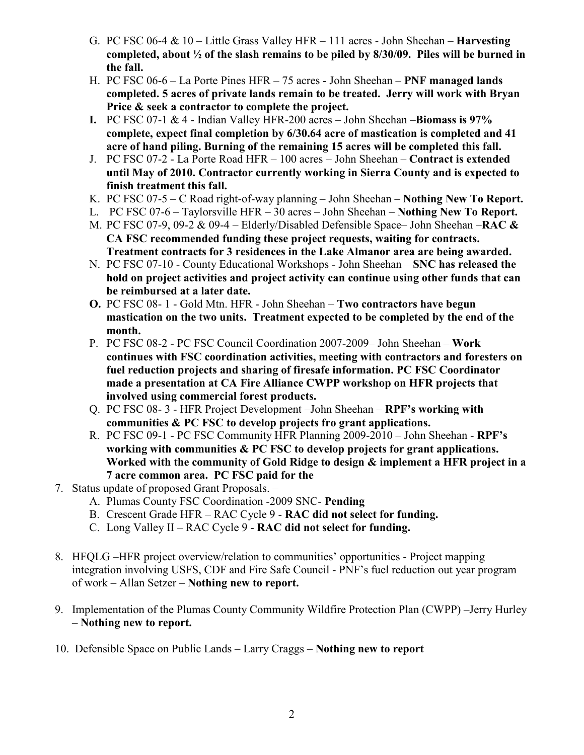- G. PC FSC 06-4  $& 10 -$  Little Grass Valley HFR 111 acres John Sheehan **Harvesting** completed, about ½ of the slash remains to be piled by 8/30/09. Piles will be burned in the fall.
- H. PC FSC 06-6 La Porte Pines HFR 75 acres John Sheehan PNF managed lands completed. 5 acres of private lands remain to be treated. Jerry will work with Bryan Price & seek a contractor to complete the project.
- I. PC FSC 07-1  $&$  4 Indian Valley HFR-200 acres John Sheehan Biomass is 97% complete, expect final completion by 6/30.64 acre of mastication is completed and 41 acre of hand piling. Burning of the remaining 15 acres will be completed this fall.
- J. PC FSC 07-2 La Porte Road HFR 100 acres John Sheehan Contract is extended until May of 2010. Contractor currently working in Sierra County and is expected to finish treatment this fall.
- K. PC FSC 07-5 C Road right-of-way planning John Sheehan Nothing New To Report.
- L. PC FSC 07-6 Taylorsville HFR 30 acres John Sheehan Nothing New To Report.
- M. PC FSC 07-9, 09-2 & 09-4 Elderly/Disabled Defensible Space– John Sheehan –RAC  $\&$ CA FSC recommended funding these project requests, waiting for contracts. Treatment contracts for 3 residences in the Lake Almanor area are being awarded.
- N. PC FSC 07-10 County Educational Workshops John Sheehan SNC has released the hold on project activities and project activity can continue using other funds that can be reimbursed at a later date.
- O. PC FSC 08- 1 Gold Mtn. HFR John Sheehan Two contractors have begun mastication on the two units. Treatment expected to be completed by the end of the month.
- P. PC FSC 08-2 PC FSC Council Coordination 2007-2009– John Sheehan Work continues with FSC coordination activities, meeting with contractors and foresters on fuel reduction projects and sharing of firesafe information. PC FSC Coordinator made a presentation at CA Fire Alliance CWPP workshop on HFR projects that involved using commercial forest products.
- Q. PC FSC 08- 3 HFR Project Development –John Sheehan RPF's working with communities & PC FSC to develop projects fro grant applications.
- R. PC FSC 09-1 PC FSC Community HFR Planning 2009-2010 John Sheehan RPF's working with communities & PC FSC to develop projects for grant applications. Worked with the community of Gold Ridge to design & implement a HFR project in a 7 acre common area. PC FSC paid for the
- 7. Status update of proposed Grant Proposals.
	- A. Plumas County FSC Coordination -2009 SNC- Pending
	- B. Crescent Grade HFR RAC Cycle 9 RAC did not select for funding.
	- C. Long Valley II RAC Cycle 9 RAC did not select for funding.
- 8. HFQLG –HFR project overview/relation to communities' opportunities Project mapping integration involving USFS, CDF and Fire Safe Council - PNF's fuel reduction out year program of work – Allan Setzer – Nothing new to report.
- 9. Implementation of the Plumas County Community Wildfire Protection Plan (CWPP) –Jerry Hurley – Nothing new to report.
- 10. Defensible Space on Public Lands Larry Craggs Nothing new to report